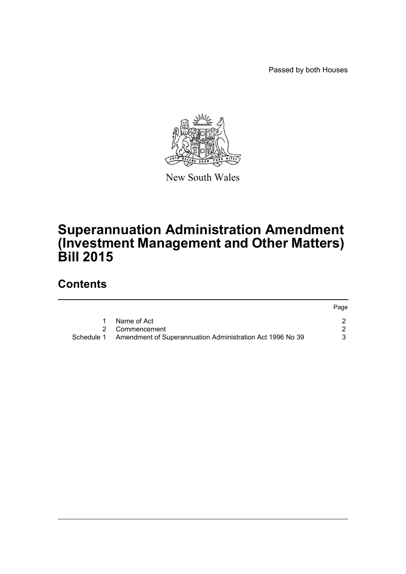Passed by both Houses



New South Wales

# **Superannuation Administration Amendment (Investment Management and Other Matters) Bill 2015**

# **Contents**

|            |                                                           | Page |
|------------|-----------------------------------------------------------|------|
|            | Name of Act                                               |      |
|            | 2 Commencement                                            |      |
| Schedule 1 | Amendment of Superannuation Administration Act 1996 No 39 |      |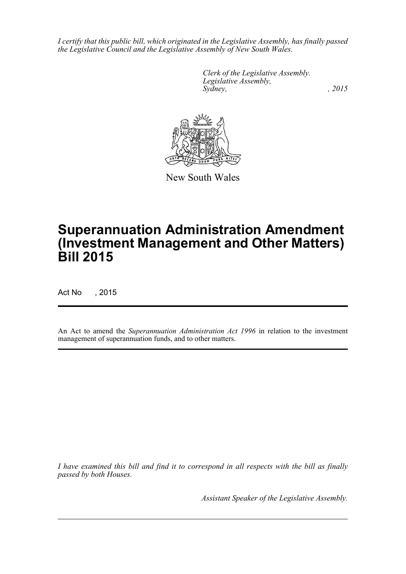*I certify that this public bill, which originated in the Legislative Assembly, has finally passed the Legislative Council and the Legislative Assembly of New South Wales.*

> *Clerk of the Legislative Assembly. Legislative Assembly, Sydney,* , 2015



New South Wales

# **Superannuation Administration Amendment (Investment Management and Other Matters) Bill 2015**

Act No , 2015

An Act to amend the *Superannuation Administration Act 1996* in relation to the investment management of superannuation funds, and to other matters.

*I have examined this bill and find it to correspond in all respects with the bill as finally passed by both Houses.*

*Assistant Speaker of the Legislative Assembly.*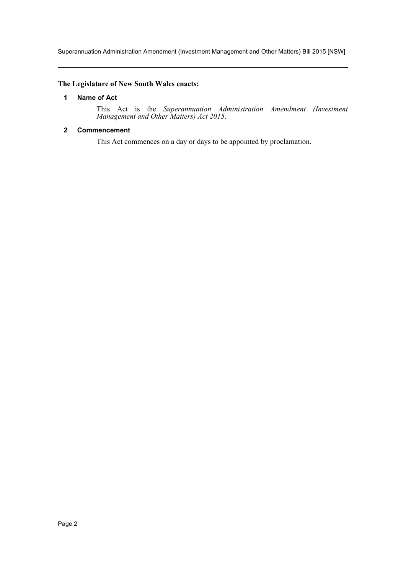Superannuation Administration Amendment (Investment Management and Other Matters) Bill 2015 [NSW]

# <span id="page-2-0"></span>**The Legislature of New South Wales enacts:**

## **1 Name of Act**

This Act is the *Superannuation Administration Amendment (Investment Management and Other Matters) Act 2015*.

## <span id="page-2-1"></span>**2 Commencement**

This Act commences on a day or days to be appointed by proclamation.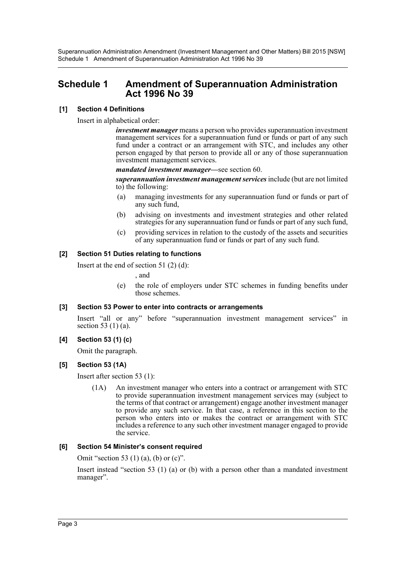Superannuation Administration Amendment (Investment Management and Other Matters) Bill 2015 [NSW] Schedule 1 Amendment of Superannuation Administration Act 1996 No 39

# <span id="page-3-0"></span>**Schedule 1 Amendment of Superannuation Administration Act 1996 No 39**

## **[1] Section 4 Definitions**

Insert in alphabetical order:

*investment manager* means a person who provides superannuation investment management services for a superannuation fund or funds or part of any such fund under a contract or an arrangement with STC, and includes any other person engaged by that person to provide all or any of those superannuation investment management services.

*mandated investment manager—*see section 60.

*superannuation investment management services* include (but are not limited to) the following:

- (a) managing investments for any superannuation fund or funds or part of any such fund,
- (b) advising on investments and investment strategies and other related strategies for any superannuation fund or funds or part of any such fund,
- (c) providing services in relation to the custody of the assets and securities of any superannuation fund or funds or part of any such fund.

# **[2] Section 51 Duties relating to functions**

Insert at the end of section 51 (2) (d):

, and

(e) the role of employers under STC schemes in funding benefits under those schemes.

#### **[3] Section 53 Power to enter into contracts or arrangements**

Insert "all or any" before "superannuation investment management services" in section 53 (1) (a).

#### **[4] Section 53 (1) (c)**

Omit the paragraph.

# **[5] Section 53 (1A)**

Insert after section 53 (1):

(1A) An investment manager who enters into a contract or arrangement with STC to provide superannuation investment management services may (subject to the terms of that contract or arrangement) engage another investment manager to provide any such service. In that case, a reference in this section to the person who enters into or makes the contract or arrangement with STC includes a reference to any such other investment manager engaged to provide the service.

#### **[6] Section 54 Minister's consent required**

Omit "section 53 (1) (a), (b) or (c)".

Insert instead "section 53 (1) (a) or (b) with a person other than a mandated investment manager".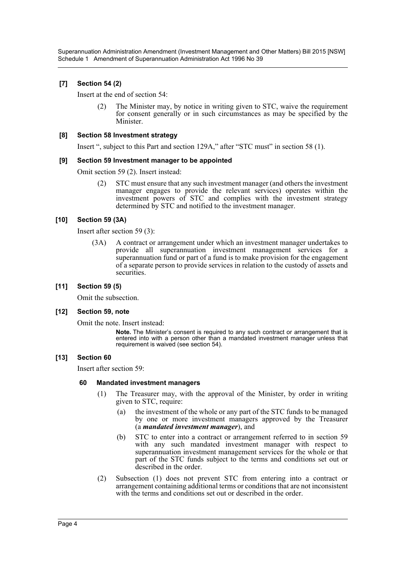Superannuation Administration Amendment (Investment Management and Other Matters) Bill 2015 [NSW] Schedule 1 Amendment of Superannuation Administration Act 1996 No 39

## **[7] Section 54 (2)**

Insert at the end of section 54:

(2) The Minister may, by notice in writing given to STC, waive the requirement for consent generally or in such circumstances as may be specified by the Minister.

#### **[8] Section 58 Investment strategy**

Insert ", subject to this Part and section 129A," after "STC must" in section 58 (1).

#### **[9] Section 59 Investment manager to be appointed**

Omit section 59 (2). Insert instead:

(2) STC must ensure that any such investment manager (and others the investment manager engages to provide the relevant services) operates within the investment powers of STC and complies with the investment strategy determined by STC and notified to the investment manager.

#### **[10] Section 59 (3A)**

Insert after section 59 (3):

(3A) A contract or arrangement under which an investment manager undertakes to provide all superannuation investment management services for a superannuation fund or part of a fund is to make provision for the engagement of a separate person to provide services in relation to the custody of assets and securities.

#### **[11] Section 59 (5)**

Omit the subsection.

#### **[12] Section 59, note**

Omit the note. Insert instead:

**Note.** The Minister's consent is required to any such contract or arrangement that is entered into with a person other than a mandated investment manager unless that requirement is waived (see section 54).

#### **[13] Section 60**

Insert after section 59:

#### **60 Mandated investment managers**

- (1) The Treasurer may, with the approval of the Minister, by order in writing given to STC, require:
	- (a) the investment of the whole or any part of the STC funds to be managed by one or more investment managers approved by the Treasurer (a *mandated investment manager*), and
	- (b) STC to enter into a contract or arrangement referred to in section 59 with any such mandated investment manager with respect to superannuation investment management services for the whole or that part of the STC funds subject to the terms and conditions set out or described in the order.
- (2) Subsection (1) does not prevent STC from entering into a contract or arrangement containing additional terms or conditions that are not inconsistent with the terms and conditions set out or described in the order.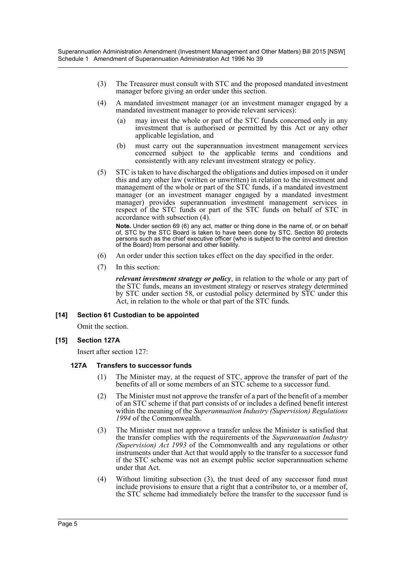- (3) The Treasurer must consult with STC and the proposed mandated investment manager before giving an order under this section.
- (4) A mandated investment manager (or an investment manager engaged by a mandated investment manager to provide relevant services):
	- (a) may invest the whole or part of the STC funds concerned only in any investment that is authorised or permitted by this Act or any other applicable legislation, and
	- (b) must carry out the superannuation investment management services concerned subject to the applicable terms and conditions and consistently with any relevant investment strategy or policy.
- (5) STC is taken to have discharged the obligations and duties imposed on it under this and any other law (written or unwritten) in relation to the investment and management of the whole or part of the STC funds, if a mandated investment manager (or an investment manager engaged by a mandated investment manager) provides superannuation investment management services in respect of the STC funds or part of the STC funds on behalf of STC in accordance with subsection (4).

**Note.** Under section 69 (6) any act, matter or thing done in the name of, or on behalf of, STC by the STC Board is taken to have been done by STC. Section 80 protects persons such as the chief executive officer (who is subject to the control and direction of the Board) from personal and other liability.

- (6) An order under this section takes effect on the day specified in the order.
- (7) In this section:

*relevant investment strategy or policy*, in relation to the whole or any part of the STC funds, means an investment strategy or reserves strategy determined by STC under section 58, or custodial policy determined by STC under this Act, in relation to the whole or that part of the STC funds.

#### **[14] Section 61 Custodian to be appointed**

Omit the section.

#### **[15] Section 127A**

Insert after section 127:

#### **127A Transfers to successor funds**

- (1) The Minister may, at the request of STC, approve the transfer of part of the benefits of all or some members of an STC scheme to a successor fund.
- (2) The Minister must not approve the transfer of a part of the benefit of a member of an STC scheme if that part consists of or includes a defined benefit interest within the meaning of the *Superannuation Industry (Supervision) Regulations 1994* of the Commonwealth.
- (3) The Minister must not approve a transfer unless the Minister is satisfied that the transfer complies with the requirements of the *Superannuation Industry (Supervision) Act 1993* of the Commonwealth and any regulations or other instruments under that Act that would apply to the transfer to a successor fund if the STC scheme was not an exempt public sector superannuation scheme under that Act.
- (4) Without limiting subsection (3), the trust deed of any successor fund must include provisions to ensure that a right that a contributor to, or a member of, the STC scheme had immediately before the transfer to the successor fund is